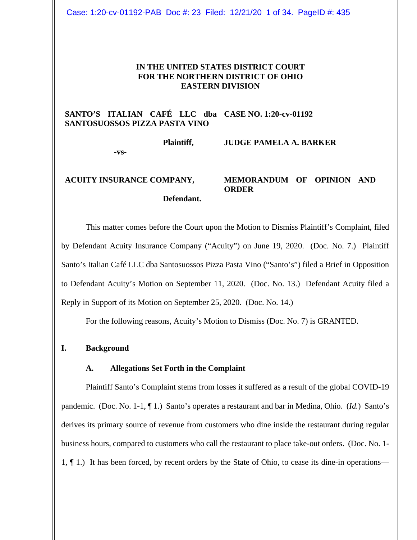Case: 1:20-cv-01192-PAB Doc #: 23 Filed: 12/21/20 1 of 34. PageID #: 435

### **IN THE UNITED STATES DISTRICT COURT FOR THE NORTHERN DISTRICT OF OHIO EASTERN DIVISION**

# **SANTO'S ITALIAN CAFÉ LLC dba CASE NO. 1:20-cv-01192 SANTOSUOSSOS PIZZA PASTA VINO**

**Plaintiff,**

**-vs-**

# **JUDGE PAMELA A. BARKER**

**ACUITY INSURANCE COMPANY, Defendant. MEMORANDUM OF OPINION AND ORDER**

This matter comes before the Court upon the Motion to Dismiss Plaintiff's Complaint, filed by Defendant Acuity Insurance Company ("Acuity") on June 19, 2020. (Doc. No. 7.) Plaintiff Santo's Italian Café LLC dba Santosuossos Pizza Pasta Vino ("Santo's") filed a Brief in Opposition to Defendant Acuity's Motion on September 11, 2020. (Doc. No. 13.) Defendant Acuity filed a Reply in Support of its Motion on September 25, 2020. (Doc. No. 14.)

For the following reasons, Acuity's Motion to Dismiss (Doc. No. 7) is GRANTED.

## **I. Background**

### **A. Allegations Set Forth in the Complaint**

Plaintiff Santo's Complaint stems from losses it suffered as a result of the global COVID-19 pandemic. (Doc. No. 1-1, ¶ 1.) Santo's operates a restaurant and bar in Medina, Ohio. (*Id.*) Santo's derives its primary source of revenue from customers who dine inside the restaurant during regular business hours, compared to customers who call the restaurant to place take-out orders. (Doc. No. 1- 1, ¶ 1.) It has been forced, by recent orders by the State of Ohio, to cease its dine-in operations—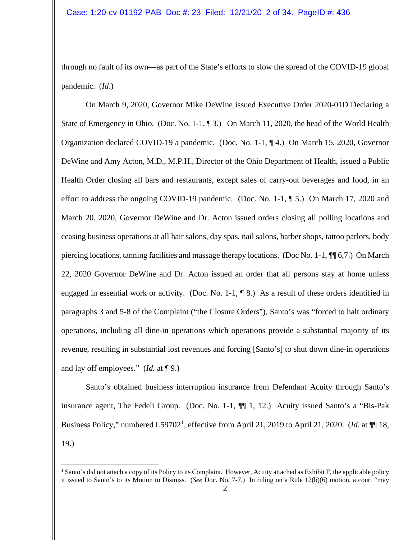through no fault of its own—as part of the State's efforts to slow the spread of the COVID-19 global pandemic. (*Id.*)

On March 9, 2020, Governor Mike DeWine issued Executive Order 2020-01D Declaring a State of Emergency in Ohio. (Doc. No. 1-1, ¶ 3.) On March 11, 2020, the head of the World Health Organization declared COVID-19 a pandemic. (Doc. No. 1-1, ¶ 4.) On March 15, 2020, Governor DeWine and Amy Acton, M.D., M.P.H., Director of the Ohio Department of Health, issued a Public Health Order closing all bars and restaurants, except sales of carry-out beverages and food, in an effort to address the ongoing COVID-19 pandemic. (Doc. No. 1-1, ¶ 5.) On March 17, 2020 and March 20, 2020, Governor DeWine and Dr. Acton issued orders closing all polling locations and ceasing business operations at all hair salons, day spas, nail salons, barber shops, tattoo parlors, body piercing locations, tanning facilities and massage therapy locations. (Doc No. 1-1, ¶¶ 6,7.) On March 22, 2020 Governor DeWine and Dr. Acton issued an order that all persons stay at home unless engaged in essential work or activity. (Doc. No. 1-1, ¶ 8.) As a result of these orders identified in paragraphs 3 and 5-8 of the Complaint ("the Closure Orders"), Santo's was "forced to halt ordinary operations, including all dine-in operations which operations provide a substantial majority of its revenue, resulting in substantial lost revenues and forcing [Santo's] to shut down dine-in operations and lay off employees." (*Id.* at ¶ 9.)

Santo's obtained business interruption insurance from Defendant Acuity through Santo's insurance agent, The Fedeli Group. (Doc. No. 1-1, ¶¶ 1, 12.) Acuity issued Santo's a "Bis-Pak Business Policy," numbered L59702<sup>[1](#page-1-0)</sup>, effective from April 21, 2019 to April 21, 2020. (*Id.* at  $\P$  18, 19.)

<span id="page-1-0"></span><sup>&</sup>lt;sup>1</sup> Santo's did not attach a copy of its Policy to its Complaint. However, Acuity attached as Exhibit F, the applicable policy it issued to Santo's to its Motion to Dismiss. (*See* Doc. No. 7-7.) In ruling on a Rule 12(b)(6) motion, a court "may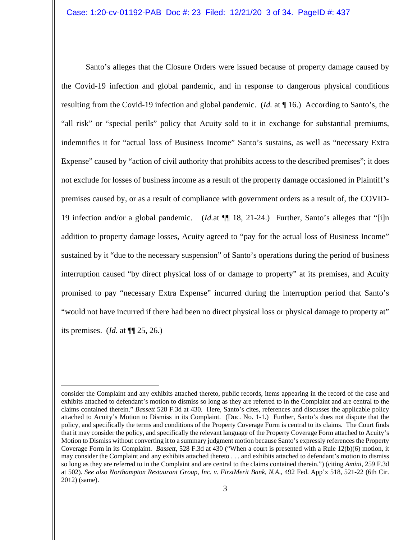Santo's alleges that the Closure Orders were issued because of property damage caused by the Covid-19 infection and global pandemic, and in response to dangerous physical conditions resulting from the Covid-19 infection and global pandemic. (*Id.* at ¶ 16.) According to Santo's, the "all risk" or "special perils" policy that Acuity sold to it in exchange for substantial premiums, indemnifies it for "actual loss of Business Income" Santo's sustains, as well as "necessary Extra Expense" caused by "action of civil authority that prohibits access to the described premises"; it does not exclude for losses of business income as a result of the property damage occasioned in Plaintiff's premises caused by, or as a result of compliance with government orders as a result of, the COVID-19 infection and/or a global pandemic. (*Id.*at ¶¶ 18, 21-24.) Further, Santo's alleges that "[i]n addition to property damage losses, Acuity agreed to "pay for the actual loss of Business Income" sustained by it "due to the necessary suspension" of Santo's operations during the period of business interruption caused "by direct physical loss of or damage to property" at its premises, and Acuity promised to pay "necessary Extra Expense" incurred during the interruption period that Santo's "would not have incurred if there had been no direct physical loss or physical damage to property at" its premises. (*Id.* at ¶¶ 25, 26.)

consider the Complaint and any exhibits attached thereto, public records, items appearing in the record of the case and exhibits attached to defendant's motion to dismiss so long as they are referred to in the Complaint and are central to the claims contained therein." *Bassett* 528 F.3d at 430. Here, Santo's cites, references and discusses the applicable policy attached to Acuity's Motion to Dismiss in its Complaint. (Doc. No. 1-1.) Further, Santo's does not dispute that the policy, and specifically the terms and conditions of the Property Coverage Form is central to its claims. The Court finds that it may consider the policy, and specifically the relevant language of the Property Coverage Form attached to Acuity's Motion to Dismiss without converting it to a summary judgment motion because Santo's expressly references the Property Coverage Form in its Complaint. *Bassett*, 528 F.3d at 430 ("When a court is presented with a Rule 12(b)(6) motion, it may consider the Complaint and any exhibits attached thereto . . . and exhibits attached to defendant's motion to dismiss so long as they are referred to in the Complaint and are central to the claims contained therein.") (citing *Amini*, 259 F.3d at 502). *See also Northampton Restaurant Group, Inc. v. FirstMerit Bank, N.A*., 492 Fed. App'x 518, 521-22 (6th Cir. 2012) (same).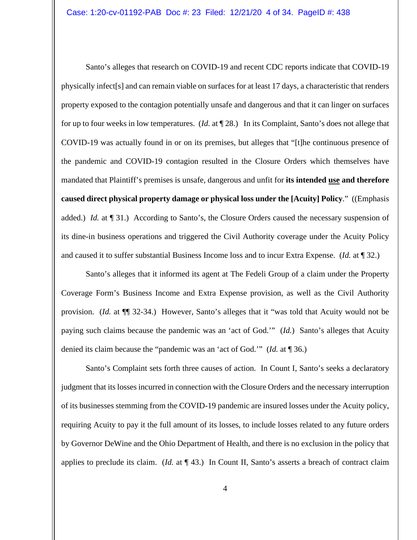Santo's alleges that research on COVID-19 and recent CDC reports indicate that COVID-19 physically infect[s] and can remain viable on surfaces for at least 17 days, a characteristic that renders property exposed to the contagion potentially unsafe and dangerous and that it can linger on surfaces for up to four weeks in low temperatures. (*Id.* at ¶ 28.) In its Complaint, Santo's does not allege that COVID-19 was actually found in or on its premises, but alleges that "[t]he continuous presence of the pandemic and COVID-19 contagion resulted in the Closure Orders which themselves have mandated that Plaintiff's premises is unsafe, dangerous and unfit for **its intended use and therefore caused direct physical property damage or physical loss under the [Acuity] Policy**." ((Emphasis added.) *Id.* at [131.] According to Santo's, the Closure Orders caused the necessary suspension of its dine-in business operations and triggered the Civil Authority coverage under the Acuity Policy and caused it to suffer substantial Business Income loss and to incur Extra Expense. (*Id.* at ¶ 32.)

Santo's alleges that it informed its agent at The Fedeli Group of a claim under the Property Coverage Form's Business Income and Extra Expense provision, as well as the Civil Authority provision. (*Id.* at ¶¶ 32-34.) However, Santo's alleges that it "was told that Acuity would not be paying such claims because the pandemic was an 'act of God.'" (*Id.*) Santo's alleges that Acuity denied its claim because the "pandemic was an 'act of God.'" (*Id.* at ¶ 36.)

Santo's Complaint sets forth three causes of action. In Count I, Santo's seeks a declaratory judgment that its losses incurred in connection with the Closure Orders and the necessary interruption of its businesses stemming from the COVID-19 pandemic are insured losses under the Acuity policy, requiring Acuity to pay it the full amount of its losses, to include losses related to any future orders by Governor DeWine and the Ohio Department of Health, and there is no exclusion in the policy that applies to preclude its claim. (*Id.* at ¶ 43.) In Count II, Santo's asserts a breach of contract claim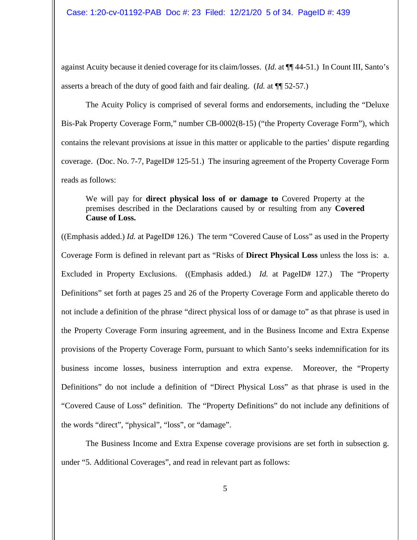against Acuity because it denied coverage for its claim/losses. (*Id.* at ¶¶ 44-51.) In Count III, Santo's asserts a breach of the duty of good faith and fair dealing. (*Id.* at ¶¶ 52-57.)

The Acuity Policy is comprised of several forms and endorsements, including the "Deluxe Bis-Pak Property Coverage Form," number CB-0002(8-15) ("the Property Coverage Form"), which contains the relevant provisions at issue in this matter or applicable to the parties' dispute regarding coverage. (Doc. No. 7-7, PageID# 125-51.) The insuring agreement of the Property Coverage Form reads as follows:

We will pay for **direct physical loss of or damage to** Covered Property at the premises described in the Declarations caused by or resulting from any **Covered Cause of Loss.**

((Emphasis added.) *Id.* at PageID# 126.) The term "Covered Cause of Loss" as used in the Property Coverage Form is defined in relevant part as "Risks of **Direct Physical Loss** unless the loss is: a. Excluded in Property Exclusions. ((Emphasis added.) *Id.* at PageID# 127.) The "Property Definitions" set forth at pages 25 and 26 of the Property Coverage Form and applicable thereto do not include a definition of the phrase "direct physical loss of or damage to" as that phrase is used in the Property Coverage Form insuring agreement, and in the Business Income and Extra Expense provisions of the Property Coverage Form, pursuant to which Santo's seeks indemnification for its business income losses, business interruption and extra expense. Moreover, the "Property Definitions" do not include a definition of "Direct Physical Loss" as that phrase is used in the "Covered Cause of Loss" definition. The "Property Definitions" do not include any definitions of the words "direct", "physical", "loss", or "damage".

The Business Income and Extra Expense coverage provisions are set forth in subsection g. under "5. Additional Coverages", and read in relevant part as follows: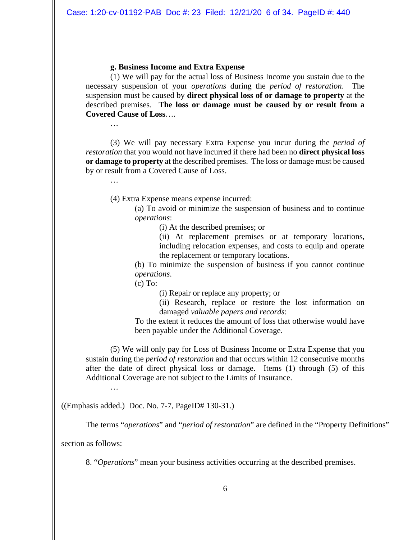## **g. Business Income and Extra Expense**

(1) We will pay for the actual loss of Business Income you sustain due to the necessary suspension of your *operations* during the *period of restoration*. The suspension must be caused by **direct physical loss of or damage to property** at the described premises. **The loss or damage must be caused by or result from a Covered Cause of Loss**….

(3) We will pay necessary Extra Expense you incur during the *period of restoration* that you would not have incurred if there had been no **direct physical loss or damage to property** at the described premises. The loss or damage must be caused by or result from a Covered Cause of Loss.

…

…

(4) Extra Expense means expense incurred:

(a) To avoid or minimize the suspension of business and to continue *operations*:

(i) At the described premises; or

(ii) At replacement premises or at temporary locations, including relocation expenses, and costs to equip and operate the replacement or temporary locations.

(b) To minimize the suspension of business if you cannot continue *operations*.

 $(c)$  To:

(i) Repair or replace any property; or

(ii) Research, replace or restore the lost information on damaged *valuable papers and records*:

To the extent it reduces the amount of loss that otherwise would have been payable under the Additional Coverage.

(5) We will only pay for Loss of Business Income or Extra Expense that you sustain during the *period of restoration* and that occurs within 12 consecutive months after the date of direct physical loss or damage. Items (1) through (5) of this Additional Coverage are not subject to the Limits of Insurance.

…

((Emphasis added.) Doc. No. 7-7, PageID# 130-31.)

The terms "*operations*" and "*period of restoration*" are defined in the "Property Definitions"

section as follows:

8. "*Operations*" mean your business activities occurring at the described premises.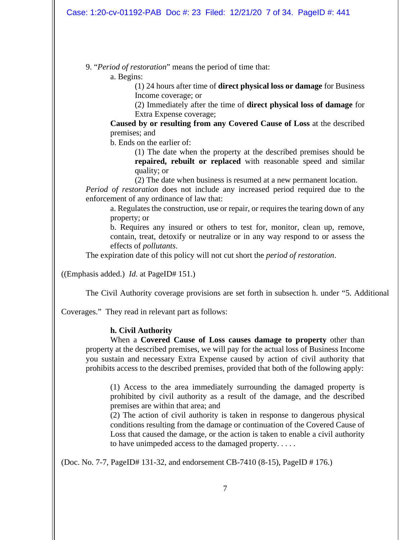9. "*Period of restoration*" means the period of time that:

a. Begins:

(1) 24 hours after time of **direct physical loss or damage** for Business Income coverage; or

(2) Immediately after the time of **direct physical loss of damage** for Extra Expense coverage;

**Caused by or resulting from any Covered Cause of Loss** at the described premises; and

b. Ends on the earlier of:

(1) The date when the property at the described premises should be **repaired, rebuilt or replaced** with reasonable speed and similar quality; or

(2) The date when business is resumed at a new permanent location. *Period of restoration* does not include any increased period required due to the enforcement of any ordinance of law that:

a. Regulates the construction, use or repair, or requires the tearing down of any property; or

b. Requires any insured or others to test for, monitor, clean up, remove, contain, treat, detoxify or neutralize or in any way respond to or assess the effects of *pollutants*.

The expiration date of this policy will not cut short the *period of restoration*.

((Emphasis added.) *Id*. at PageID# 151.)

The Civil Authority coverage provisions are set forth in subsection h. under "5. Additional

Coverages." They read in relevant part as follows:

# **h. Civil Authority**

When a **Covered Cause of Loss causes damage to property** other than property at the described premises, we will pay for the actual loss of Business Income you sustain and necessary Extra Expense caused by action of civil authority that prohibits access to the described premises, provided that both of the following apply:

(1) Access to the area immediately surrounding the damaged property is prohibited by civil authority as a result of the damage, and the described premises are within that area; and

(2) The action of civil authority is taken in response to dangerous physical conditions resulting from the damage or continuation of the Covered Cause of Loss that caused the damage, or the action is taken to enable a civil authority to have unimpeded access to the damaged property. . . . .

(Doc. No. 7-7, PageID# 131-32, and endorsement CB-7410 (8-15), PageID # 176.)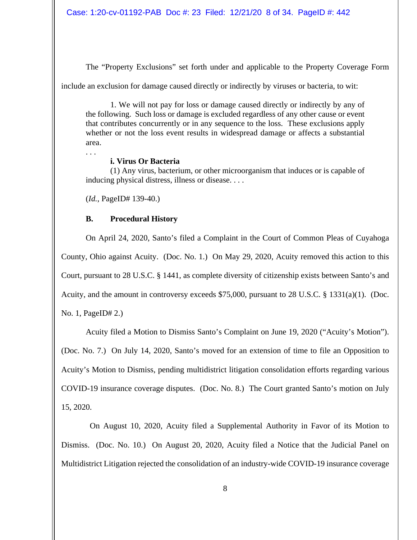The "Property Exclusions" set forth under and applicable to the Property Coverage Form

include an exclusion for damage caused directly or indirectly by viruses or bacteria, to wit:

1. We will not pay for loss or damage caused directly or indirectly by any of the following. Such loss or damage is excluded regardless of any other cause or event that contributes concurrently or in any sequence to the loss. These exclusions apply whether or not the loss event results in widespread damage or affects a substantial area.

. . .

# **i. Virus Or Bacteria**

(1) Any virus, bacterium, or other microorganism that induces or is capable of inducing physical distress, illness or disease. . . .

(*Id.*, PageID# 139-40.)

# **B. Procedural History**

On April 24, 2020, Santo's filed a Complaint in the Court of Common Pleas of Cuyahoga County, Ohio against Acuity. (Doc. No. 1.) On May 29, 2020, Acuity removed this action to this Court, pursuant to 28 U.S.C. § 1441, as complete diversity of citizenship exists between Santo's and Acuity, and the amount in controversy exceeds \$75,000, pursuant to 28 U.S.C. § 1331(a)(1). (Doc.

No. 1, PageID# 2.)

Acuity filed a Motion to Dismiss Santo's Complaint on June 19, 2020 ("Acuity's Motion"). (Doc. No. 7.) On July 14, 2020, Santo's moved for an extension of time to file an Opposition to Acuity's Motion to Dismiss, pending multidistrict litigation consolidation efforts regarding various COVID-19 insurance coverage disputes. (Doc. No. 8.) The Court granted Santo's motion on July 15, 2020.

 On August 10, 2020, Acuity filed a Supplemental Authority in Favor of its Motion to Dismiss. (Doc. No. 10.) On August 20, 2020, Acuity filed a Notice that the Judicial Panel on Multidistrict Litigation rejected the consolidation of an industry-wide COVID-19 insurance coverage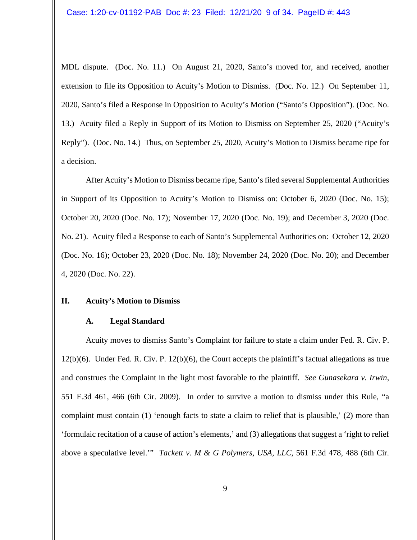MDL dispute. (Doc. No. 11.) On August 21, 2020, Santo's moved for, and received, another extension to file its Opposition to Acuity's Motion to Dismiss. (Doc. No. 12.) On September 11, 2020, Santo's filed a Response in Opposition to Acuity's Motion ("Santo's Opposition"). (Doc. No. 13.) Acuity filed a Reply in Support of its Motion to Dismiss on September 25, 2020 ("Acuity's Reply"). (Doc. No. 14.) Thus, on September 25, 2020, Acuity's Motion to Dismiss became ripe for a decision.

After Acuity's Motion to Dismiss became ripe, Santo's filed several Supplemental Authorities in Support of its Opposition to Acuity's Motion to Dismiss on: October 6, 2020 (Doc. No. 15); October 20, 2020 (Doc. No. 17); November 17, 2020 (Doc. No. 19); and December 3, 2020 (Doc. No. 21). Acuity filed a Response to each of Santo's Supplemental Authorities on: October 12, 2020 (Doc. No. 16); October 23, 2020 (Doc. No. 18); November 24, 2020 (Doc. No. 20); and December 4, 2020 (Doc. No. 22).

#### **II. Acuity's Motion to Dismiss**

#### **A. Legal Standard**

Acuity moves to dismiss Santo's Complaint for failure to state a claim under Fed. R. Civ. P. 12(b)(6). Under Fed. R. Civ. P. 12(b)(6), the Court accepts the plaintiff's factual allegations as true and construes the Complaint in the light most favorable to the plaintiff. *See Gunasekara v. Irwin*, 551 F.3d 461, 466 (6th Cir. 2009). In order to survive a motion to dismiss under this Rule, "a complaint must contain (1) 'enough facts to state a claim to relief that is plausible,' (2) more than 'formulaic recitation of a cause of action's elements,' and (3) allegations that suggest a 'right to relief above a speculative level.'" *Tackett v. M & G Polymers, USA, LLC*, 561 F.3d 478, 488 (6th Cir.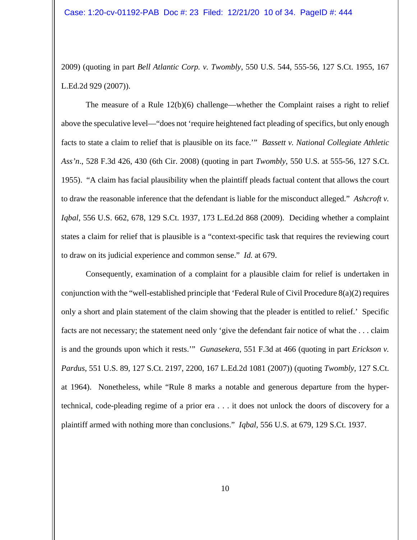2009) (quoting in part *Bell Atlantic Corp. v. Twombly*, 550 U.S. 544, 555-56, 127 S.Ct. 1955, 167 L.Ed.2d 929 (2007)).

The measure of a Rule 12(b)(6) challenge—whether the Complaint raises a right to relief above the speculative level—"does not 'require heightened fact pleading of specifics, but only enough facts to state a claim to relief that is plausible on its face.'" *Bassett v. National Collegiate Athletic Ass'n*., 528 F.3d 426, 430 (6th Cir. 2008) (quoting in part *Twombly*, 550 U.S. at 555-56, 127 S.Ct. 1955). "A claim has facial plausibility when the plaintiff pleads factual content that allows the court to draw the reasonable inference that the defendant is liable for the misconduct alleged." *Ashcroft v. Iqbal*, 556 U.S. 662, 678, 129 S.Ct. 1937, 173 L.Ed.2d 868 (2009). Deciding whether a complaint states a claim for relief that is plausible is a "context-specific task that requires the reviewing court to draw on its judicial experience and common sense." *Id.* at 679.

Consequently, examination of a complaint for a plausible claim for relief is undertaken in conjunction with the "well-established principle that 'Federal Rule of Civil Procedure 8(a)(2) requires only a short and plain statement of the claim showing that the pleader is entitled to relief.' Specific facts are not necessary; the statement need only 'give the defendant fair notice of what the . . . claim is and the grounds upon which it rests.'" *Gunasekera*, 551 F.3d at 466 (quoting in part *Erickson v. Pardus*, 551 U.S. 89, 127 S.Ct. 2197, 2200, 167 L.Ed.2d 1081 (2007)) (quoting *Twombly,* 127 S.Ct. at 1964). Nonetheless, while "Rule 8 marks a notable and generous departure from the hypertechnical, code-pleading regime of a prior era . . . it does not unlock the doors of discovery for a plaintiff armed with nothing more than conclusions." *Iqbal,* 556 U.S. at 679, 129 S.Ct. 1937.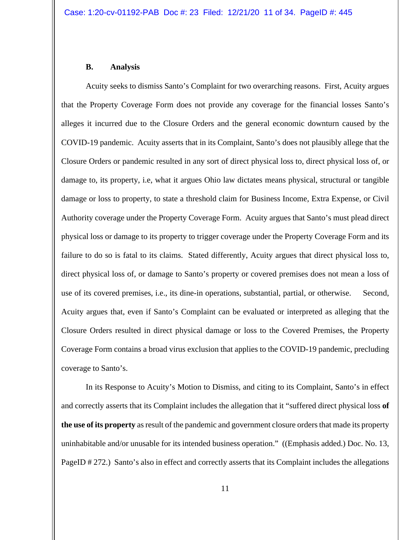#### **B. Analysis**

Acuity seeks to dismiss Santo's Complaint for two overarching reasons. First, Acuity argues that the Property Coverage Form does not provide any coverage for the financial losses Santo's alleges it incurred due to the Closure Orders and the general economic downturn caused by the COVID-19 pandemic. Acuity asserts that in its Complaint, Santo's does not plausibly allege that the Closure Orders or pandemic resulted in any sort of direct physical loss to, direct physical loss of, or damage to, its property, i.e, what it argues Ohio law dictates means physical, structural or tangible damage or loss to property, to state a threshold claim for Business Income, Extra Expense, or Civil Authority coverage under the Property Coverage Form. Acuity argues that Santo's must plead direct physical loss or damage to its property to trigger coverage under the Property Coverage Form and its failure to do so is fatal to its claims. Stated differently, Acuity argues that direct physical loss to, direct physical loss of, or damage to Santo's property or covered premises does not mean a loss of use of its covered premises, i.e., its dine-in operations, substantial, partial, or otherwise. Second, Acuity argues that, even if Santo's Complaint can be evaluated or interpreted as alleging that the Closure Orders resulted in direct physical damage or loss to the Covered Premises, the Property Coverage Form contains a broad virus exclusion that applies to the COVID-19 pandemic, precluding coverage to Santo's.

In its Response to Acuity's Motion to Dismiss, and citing to its Complaint, Santo's in effect and correctly asserts that its Complaint includes the allegation that it "suffered direct physical loss **of the use of its property** as result of the pandemic and government closure orders that made its property uninhabitable and/or unusable for its intended business operation." ((Emphasis added.) Doc. No. 13, PageID # 272.) Santo's also in effect and correctly asserts that its Complaint includes the allegations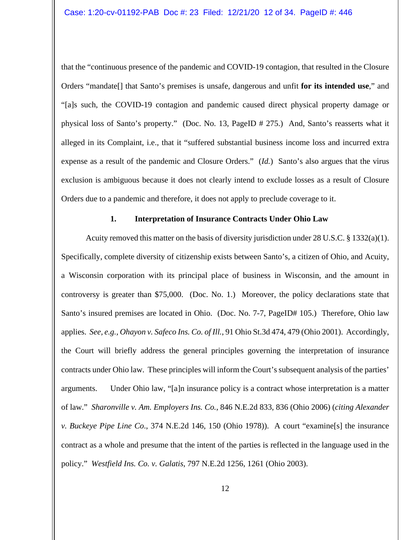that the "continuous presence of the pandemic and COVID-19 contagion, that resulted in the Closure Orders "mandate[] that Santo's premises is unsafe, dangerous and unfit **for its intended use**," and "[a]s such, the COVID-19 contagion and pandemic caused direct physical property damage or physical loss of Santo's property." (Doc. No. 13, PageID # 275.) And, Santo's reasserts what it alleged in its Complaint, i.e., that it "suffered substantial business income loss and incurred extra expense as a result of the pandemic and Closure Orders." (*Id.*) Santo's also argues that the virus exclusion is ambiguous because it does not clearly intend to exclude losses as a result of Closure Orders due to a pandemic and therefore, it does not apply to preclude coverage to it.

### **1. Interpretation of Insurance Contracts Under Ohio Law**

Acuity removed this matter on the basis of diversity jurisdiction under 28 U.S.C.  $\S$  1332(a)(1). Specifically, complete diversity of citizenship exists between Santo's, a citizen of Ohio, and Acuity, a Wisconsin corporation with its principal place of business in Wisconsin, and the amount in controversy is greater than \$75,000. (Doc. No. 1.) Moreover, the policy declarations state that Santo's insured premises are located in Ohio. (Doc. No. 7-7, PageID# 105.) Therefore, Ohio law applies. *See, e.g., Ohayon v. Safeco Ins. Co. of Ill.*, 91 Ohio St.3d 474, 479 (Ohio 2001). Accordingly, the Court will briefly address the general principles governing the interpretation of insurance contracts under Ohio law. These principles will inform the Court's subsequent analysis of the parties' arguments. Under Ohio law, "[a]n insurance policy is a contract whose interpretation is a matter of law." *Sharonville v. Am. Employers Ins. Co.*, 846 N.E.2d 833, 836 (Ohio 2006) (*citing Alexander v. Buckeye Pipe Line Co*., 374 N.E.2d 146, 150 (Ohio 1978)). A court "examine[s] the insurance contract as a whole and presume that the intent of the parties is reflected in the language used in the policy." *Westfield Ins. Co. v. Galatis*, 797 N.E.2d 1256, 1261 (Ohio 2003).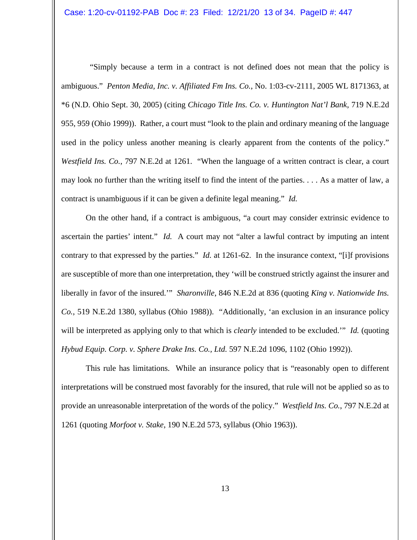"Simply because a term in a contract is not defined does not mean that the policy is ambiguous." *Penton Media, Inc. v. Affiliated Fm Ins. Co.*, No. 1:03-cv-2111, 2005 WL 8171363, at \*6 (N.D. Ohio Sept. 30, 2005) (citing *Chicago Title Ins. Co. v. Huntington Nat'l Bank*, 719 N.E.2d 955, 959 (Ohio 1999)). Rather, a court must "look to the plain and ordinary meaning of the language used in the policy unless another meaning is clearly apparent from the contents of the policy." *Westfield Ins. Co.*, 797 N.E.2d at 1261. "When the language of a written contract is clear, a court may look no further than the writing itself to find the intent of the parties. . . . As a matter of law, a contract is unambiguous if it can be given a definite legal meaning." *Id.*

On the other hand, if a contract is ambiguous, "a court may consider extrinsic evidence to ascertain the parties' intent." *Id.* A court may not "alter a lawful contract by imputing an intent contrary to that expressed by the parties." *Id.* at 1261-62. In the insurance context, "[i]f provisions are susceptible of more than one interpretation, they 'will be construed strictly against the insurer and liberally in favor of the insured.'" *Sharonville*, 846 N.E.2d at 836 (quoting *King v. Nationwide Ins. Co.*, 519 N.E.2d 1380, syllabus (Ohio 1988)). "Additionally, 'an exclusion in an insurance policy will be interpreted as applying only to that which is *clearly* intended to be excluded.'" *Id.* (quoting *Hybud Equip. Corp. v. Sphere Drake Ins. Co., Ltd.* 597 N.E.2d 1096, 1102 (Ohio 1992)).

This rule has limitations. While an insurance policy that is "reasonably open to different interpretations will be construed most favorably for the insured, that rule will not be applied so as to provide an unreasonable interpretation of the words of the policy." *Westfield Ins. Co.*, 797 N.E.2d at 1261 (quoting *Morfoot v. Stake*, 190 N.E.2d 573, syllabus (Ohio 1963)).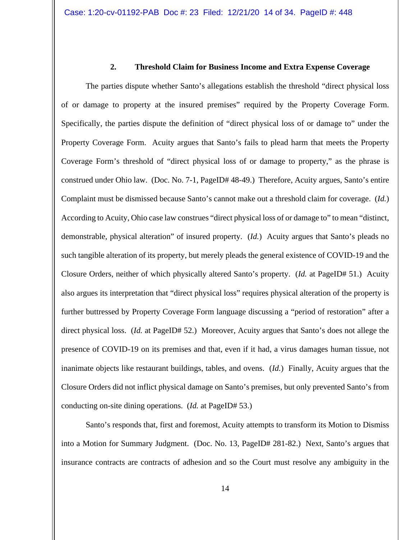## **2. Threshold Claim for Business Income and Extra Expense Coverage**

The parties dispute whether Santo's allegations establish the threshold "direct physical loss of or damage to property at the insured premises" required by the Property Coverage Form. Specifically, the parties dispute the definition of "direct physical loss of or damage to" under the Property Coverage Form. Acuity argues that Santo's fails to plead harm that meets the Property Coverage Form's threshold of "direct physical loss of or damage to property," as the phrase is construed under Ohio law. (Doc. No. 7-1, PageID# 48-49.) Therefore, Acuity argues, Santo's entire Complaint must be dismissed because Santo's cannot make out a threshold claim for coverage. (*Id.*) According to Acuity, Ohio case law construes "direct physical loss of or damage to" to mean "distinct, demonstrable, physical alteration" of insured property. (*Id.*) Acuity argues that Santo's pleads no such tangible alteration of its property, but merely pleads the general existence of COVID-19 and the Closure Orders, neither of which physically altered Santo's property. (*Id.* at PageID# 51.) Acuity also argues its interpretation that "direct physical loss" requires physical alteration of the property is further buttressed by Property Coverage Form language discussing a "period of restoration" after a direct physical loss. (*Id.* at PageID# 52.) Moreover, Acuity argues that Santo's does not allege the presence of COVID-19 on its premises and that, even if it had, a virus damages human tissue, not inanimate objects like restaurant buildings, tables, and ovens. (*Id.*) Finally, Acuity argues that the Closure Orders did not inflict physical damage on Santo's premises, but only prevented Santo's from conducting on-site dining operations. (*Id.* at PageID# 53.)

Santo's responds that, first and foremost, Acuity attempts to transform its Motion to Dismiss into a Motion for Summary Judgment. (Doc. No. 13, PageID# 281-82.) Next, Santo's argues that insurance contracts are contracts of adhesion and so the Court must resolve any ambiguity in the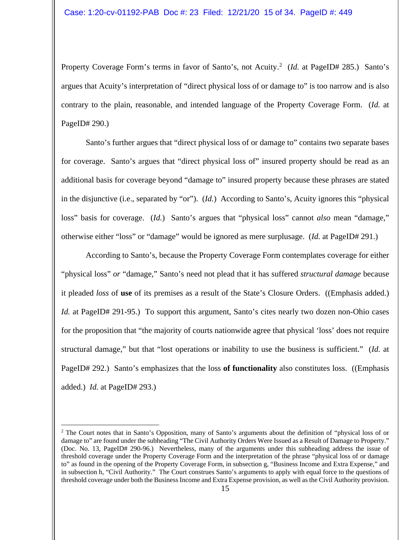Property Coverage Form's terms in favor of Santo's, not Acuity.<sup>[2](#page-14-0)</sup> (Id. at PageID# 285.) Santo's argues that Acuity's interpretation of "direct physical loss of or damage to" is too narrow and is also contrary to the plain, reasonable, and intended language of the Property Coverage Form. (*Id.* at PageID# 290.)

Santo's further argues that "direct physical loss of or damage to" contains two separate bases for coverage. Santo's argues that "direct physical loss of" insured property should be read as an additional basis for coverage beyond "damage to" insured property because these phrases are stated in the disjunctive (i.e., separated by "or"). (*Id.*) According to Santo's, Acuity ignores this "physical loss" basis for coverage. (*Id.*) Santo's argues that "physical loss" cannot *also* mean "damage," otherwise either "loss" or "damage" would be ignored as mere surplusage. (*Id.* at PageID# 291.)

According to Santo's, because the Property Coverage Form contemplates coverage for either "physical loss" *or* "damage," Santo's need not plead that it has suffered *structural damage* because it pleaded *loss* of **use** of its premises as a result of the State's Closure Orders. ((Emphasis added.) *Id.* at PageID# 291-95.) To support this argument, Santo's cites nearly two dozen non-Ohio cases for the proposition that "the majority of courts nationwide agree that physical 'loss' does not require structural damage," but that "lost operations or inability to use the business is sufficient." (*Id.* at PageID# 292.) Santo's emphasizes that the loss **of functionality** also constitutes loss. ((Emphasis added.) *Id.* at PageID# 293.)

<span id="page-14-0"></span><sup>&</sup>lt;sup>2</sup> The Court notes that in Santo's Opposition, many of Santo's arguments about the definition of "physical loss of or damage to" are found under the subheading "The Civil Authority Orders Were Issued as a Result of Damage to Property." (Doc. No. 13, PageID# 290-96.) Nevertheless, many of the arguments under this subheading address the issue of threshold coverage under the Property Coverage Form and the interpretation of the phrase "physical loss of or damage to" as found in the opening of the Property Coverage Form, in subsection g, "Business Income and Extra Expense," and in subsection h, "Civil Authority." The Court construes Santo's arguments to apply with equal force to the questions of threshold coverage under both the Business Income and Extra Expense provision, as well as the Civil Authority provision.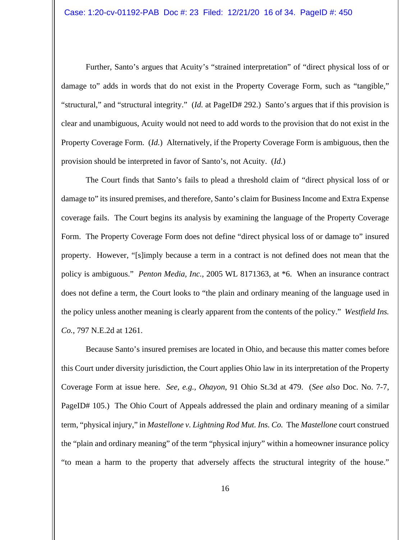Further, Santo's argues that Acuity's "strained interpretation" of "direct physical loss of or damage to" adds in words that do not exist in the Property Coverage Form, such as "tangible," "structural," and "structural integrity." (*Id.* at PageID# 292.) Santo's argues that if this provision is clear and unambiguous, Acuity would not need to add words to the provision that do not exist in the Property Coverage Form. (*Id.*) Alternatively, if the Property Coverage Form is ambiguous, then the provision should be interpreted in favor of Santo's, not Acuity. (*Id.*)

The Court finds that Santo's fails to plead a threshold claim of "direct physical loss of or damage to" its insured premises, and therefore, Santo's claim for Business Income and Extra Expense coverage fails. The Court begins its analysis by examining the language of the Property Coverage Form. The Property Coverage Form does not define "direct physical loss of or damage to" insured property. However, "[s]imply because a term in a contract is not defined does not mean that the policy is ambiguous." *Penton Media, Inc.*, 2005 WL 8171363, at \*6. When an insurance contract does not define a term, the Court looks to "the plain and ordinary meaning of the language used in the policy unless another meaning is clearly apparent from the contents of the policy." *Westfield Ins. Co.*, 797 N.E.2d at 1261.

Because Santo's insured premises are located in Ohio, and because this matter comes before this Court under diversity jurisdiction, the Court applies Ohio law in its interpretation of the Property Coverage Form at issue here. *See, e.g., Ohayon*, 91 Ohio St.3d at 479. (*See also* Doc. No. 7-7, PageID# 105.) The Ohio Court of Appeals addressed the plain and ordinary meaning of a similar term, "physical injury," in *Mastellone v. Lightning Rod Mut. Ins. Co.* The *Mastellone* court construed the "plain and ordinary meaning" of the term "physical injury" within a homeowner insurance policy "to mean a harm to the property that adversely affects the structural integrity of the house."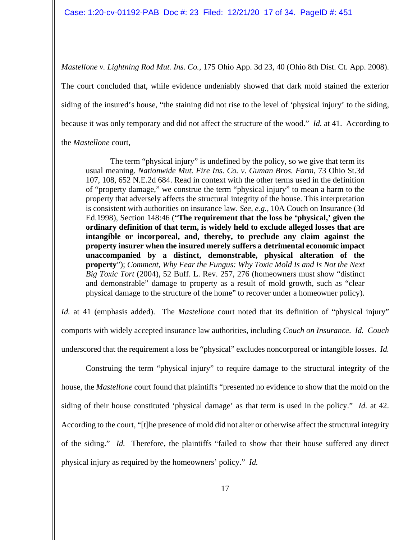*Mastellone v. Lightning Rod Mut. Ins. Co.*, 175 Ohio App. 3d 23, 40 (Ohio 8th Dist. Ct. App. 2008). The court concluded that, while evidence undeniably showed that dark mold stained the exterior siding of the insured's house, "the staining did not rise to the level of 'physical injury' to the siding, because it was only temporary and did not affect the structure of the wood." *Id.* at 41. According to the *Mastellone* court,

The term "physical injury" is undefined by the policy, so we give that term its usual meaning. *Nationwide Mut. Fire Ins. Co. v. Guman Bros. Farm*, 73 Ohio St.3d 107, 108, 652 N.E.2d 684. Read in context with the other terms used in the definition of "property damage," we construe the term "physical injury" to mean a harm to the property that adversely affects the structural integrity of the house. This interpretation is consistent with authorities on insurance law. *See, e.g.,* 10A Couch on Insurance (3d Ed.1998), Section 148:46 ("**The requirement that the loss be 'physical,' given the ordinary definition of that term, is widely held to exclude alleged losses that are intangible or incorporeal, and, thereby, to preclude any claim against the property insurer when the insured merely suffers a detrimental economic impact unaccompanied by a distinct, demonstrable, physical alteration of the property**"); *Comment, Why Fear the Fungus: Why Toxic Mold Is and Is Not the Next Big Toxic Tort* (2004), 52 Buff. L. Rev. 257, 276 (homeowners must show "distinct and demonstrable" damage to property as a result of mold growth, such as "clear physical damage to the structure of the home" to recover under a homeowner policy).

*Id.* at 41 (emphasis added). The *Mastellone* court noted that its definition of "physical injury" comports with widely accepted insurance law authorities, including *Couch on Insurance*. *Id. Couch* underscored that the requirement a loss be "physical" excludes noncorporeal or intangible losses. *Id.*

Construing the term "physical injury" to require damage to the structural integrity of the house, the *Mastellone* court found that plaintiffs "presented no evidence to show that the mold on the siding of their house constituted 'physical damage' as that term is used in the policy." *Id.* at 42. According to the court, "[t]he presence of mold did not alter or otherwise affect the structural integrity of the siding." *Id.* Therefore, the plaintiffs "failed to show that their house suffered any direct physical injury as required by the homeowners' policy." *Id.*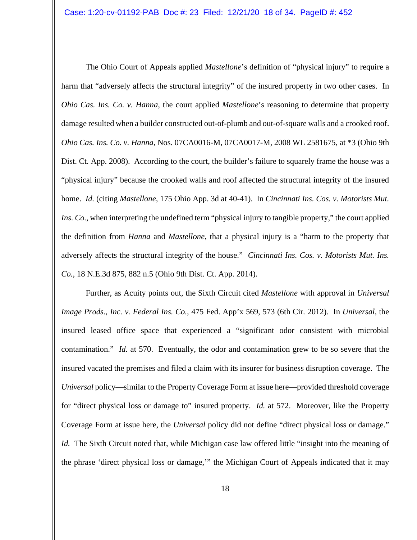The Ohio Court of Appeals applied *Mastellone*'s definition of "physical injury" to require a harm that "adversely affects the structural integrity" of the insured property in two other cases. In *Ohio Cas. Ins. Co. v. Hanna*, the court applied *Mastellone*'s reasoning to determine that property damage resulted when a builder constructed out-of-plumb and out-of-square walls and a crooked roof. *Ohio Cas. Ins. Co. v. Hanna*, Nos. 07CA0016-M, 07CA0017-M, 2008 WL 2581675, at \*3 (Ohio 9th Dist. Ct. App. 2008). According to the court, the builder's failure to squarely frame the house was a "physical injury" because the crooked walls and roof affected the structural integrity of the insured home. *Id.* (citing *Mastellone*, 175 Ohio App. 3d at 40-41). In *Cincinnati Ins. Cos. v. Motorists Mut. Ins. Co.*, when interpreting the undefined term "physical injury to tangible property," the court applied the definition from *Hanna* and *Mastellone*, that a physical injury is a "harm to the property that adversely affects the structural integrity of the house." *Cincinnati Ins. Cos. v. Motorists Mut. Ins. Co.*, 18 N.E.3d 875, 882 n.5 (Ohio 9th Dist. Ct. App. 2014).

Further, as Acuity points out, the Sixth Circuit cited *Mastellone* with approval in *Universal Image Prods., Inc. v. Federal Ins. Co.*, 475 Fed. App'x 569, 573 (6th Cir. 2012). In *Universal*, the insured leased office space that experienced a "significant odor consistent with microbial contamination." *Id.* at 570. Eventually, the odor and contamination grew to be so severe that the insured vacated the premises and filed a claim with its insurer for business disruption coverage. The *Universal* policy—similar to the Property Coverage Form at issue here—provided threshold coverage for "direct physical loss or damage to" insured property. *Id.* at 572. Moreover, like the Property Coverage Form at issue here, the *Universal* policy did not define "direct physical loss or damage." *Id.* The Sixth Circuit noted that, while Michigan case law offered little "insight into the meaning of the phrase 'direct physical loss or damage,'" the Michigan Court of Appeals indicated that it may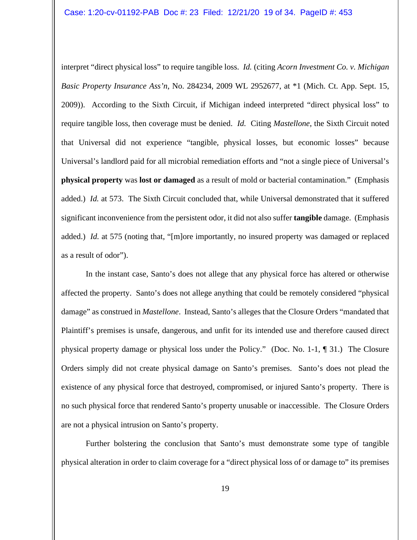interpret "direct physical loss" to require tangible loss. *Id.* (citing *Acorn Investment Co. v. Michigan Basic Property Insurance Ass'n*, No. 284234, 2009 WL 2952677, at \*1 (Mich. Ct. App. Sept. 15, 2009)). According to the Sixth Circuit, if Michigan indeed interpreted "direct physical loss" to require tangible loss, then coverage must be denied. *Id.* Citing *Mastellone*, the Sixth Circuit noted that Universal did not experience "tangible, physical losses, but economic losses" because Universal's landlord paid for all microbial remediation efforts and "not a single piece of Universal's **physical property** was **lost or damaged** as a result of mold or bacterial contamination." (Emphasis added.) *Id.* at 573. The Sixth Circuit concluded that, while Universal demonstrated that it suffered significant inconvenience from the persistent odor, it did not also suffer **tangible** damage. (Emphasis added.) *Id.* at 575 (noting that, "[m]ore importantly, no insured property was damaged or replaced as a result of odor").

In the instant case, Santo's does not allege that any physical force has altered or otherwise affected the property. Santo's does not allege anything that could be remotely considered "physical damage" as construed in *Mastellone*. Instead, Santo's alleges that the Closure Orders "mandated that Plaintiff's premises is unsafe, dangerous, and unfit for its intended use and therefore caused direct physical property damage or physical loss under the Policy." (Doc. No. 1-1, ¶ 31.) The Closure Orders simply did not create physical damage on Santo's premises. Santo's does not plead the existence of any physical force that destroyed, compromised, or injured Santo's property. There is no such physical force that rendered Santo's property unusable or inaccessible. The Closure Orders are not a physical intrusion on Santo's property.

Further bolstering the conclusion that Santo's must demonstrate some type of tangible physical alteration in order to claim coverage for a "direct physical loss of or damage to" its premises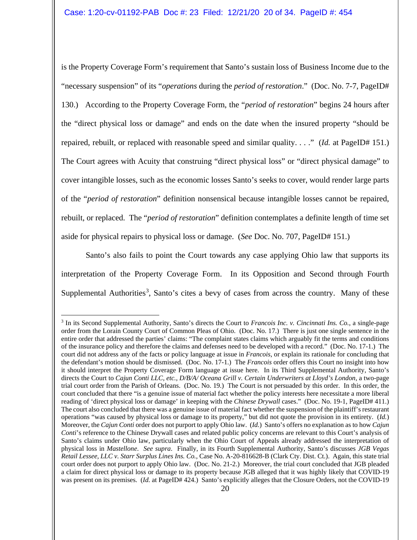is the Property Coverage Form's requirement that Santo's sustain loss of Business Income due to the "necessary suspension" of its "*operations* during the *period of restoration*." (Doc. No. 7-7, PageID# 130.) According to the Property Coverage Form, the "*period of restoration*" begins 24 hours after the "direct physical loss or damage" and ends on the date when the insured property "should be repaired, rebuilt, or replaced with reasonable speed and similar quality. . . ." (*Id.* at PageID# 151.) The Court agrees with Acuity that construing "direct physical loss" or "direct physical damage" to cover intangible losses, such as the economic losses Santo's seeks to cover, would render large parts of the "*period of restoration*" definition nonsensical because intangible losses cannot be repaired, rebuilt, or replaced. The "*period of restoration*" definition contemplates a definite length of time set aside for physical repairs to physical loss or damage. (*See* Doc. No. 707, PageID# 151.)

Santo's also fails to point the Court towards any case applying Ohio law that supports its interpretation of the Property Coverage Form. In its Opposition and Second through Fourth Supplemental Authorities<sup>[3](#page-19-0)</sup>, Santo's cites a bevy of cases from across the country. Many of these

<span id="page-19-0"></span><sup>3</sup> In its Second Supplemental Authority, Santo's directs the Court to *Francois Inc. v. Cincinnati Ins. Co.*, a single-page order from the Lorain County Court of Common Pleas of Ohio. (Doc. No. 17.) There is just one single sentence in the entire order that addressed the parties' claims: "The complaint states claims which arguably fit the terms and conditions of the insurance policy and therefore the claims and defenses need to be developed with a record." (Doc. No. 17-1.) The court did not address any of the facts or policy language at issue in *Francois*, or explain its rationale for concluding that the defendant's motion should be dismissed. (Doc. No. 17-1.) The *Francois* order offers this Court no insight into how it should interpret the Property Coverage Form language at issue here. In its Third Supplemental Authority, Santo's directs the Court to *Cajun Conti LLC, etc., D/B/A/ Oceana Grill v. Certain Underwriters at Lloyd's London*, a two-page trial court order from the Parish of Orleans. (Doc. No. 19.) The Court is not persuaded by this order. In this order, the court concluded that there "is a genuine issue of material fact whether the policy interests here necessitate a more liberal reading of 'direct physical loss or damage' in keeping with the *Chinese Drywall* cases." (Doc. No. 19-1, PageID# 411.) The court also concluded that there was a genuine issue of material fact whether the suspension of the plaintiff's restaurant operations "was caused by physical loss or damage to its property," but did not quote the provision in its entirety. (*Id.*) Moreover, the *Cajun Conti* order does not purport to apply Ohio law. (*Id.*) Santo's offers no explanation as to how *Cajun Conti*'s reference to the Chinese Drywall cases and related public policy concerns are relevant to this Court's analysis of Santo's claims under Ohio law, particularly when the Ohio Court of Appeals already addressed the interpretation of physical loss in *Mastellone*. *See supra*. Finally, in its Fourth Supplemental Authority, Santo's discusses *JGB Vegas Retail Lessee, LLC v. Starr Surplus Lines Ins. Co.*, Case No. A-20-816628-B (Clark Cty. Dist. Ct.). Again, this state trial court order does not purport to apply Ohio law. (Doc. No. 21-2.) Moreover, the trial court concluded that JGB pleaded a claim for direct physical loss or damage to its property because JGB alleged that it was highly likely that COVID-19 was present on its premises. (*Id.* at PageID# 424.) Santo's explicitly alleges that the Closure Orders, not the COVID-19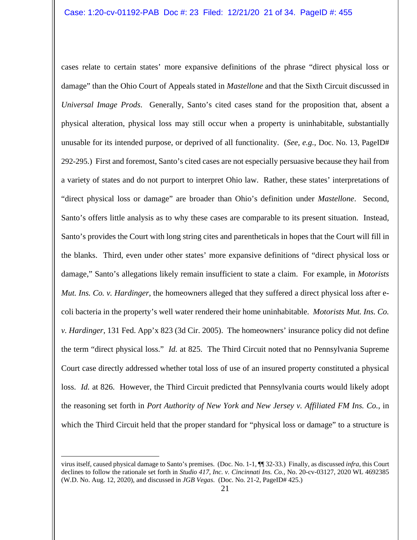cases relate to certain states' more expansive definitions of the phrase "direct physical loss or damage" than the Ohio Court of Appeals stated in *Mastellone* and that the Sixth Circuit discussed in *Universal Image Prods*. Generally, Santo's cited cases stand for the proposition that, absent a physical alteration, physical loss may still occur when a property is uninhabitable, substantially unusable for its intended purpose, or deprived of all functionality. (*See, e.g.,* Doc. No. 13, PageID# 292-295.) First and foremost, Santo's cited cases are not especially persuasive because they hail from a variety of states and do not purport to interpret Ohio law. Rather, these states' interpretations of "direct physical loss or damage" are broader than Ohio's definition under *Mastellone*. Second, Santo's offers little analysis as to why these cases are comparable to its present situation. Instead, Santo's provides the Court with long string cites and parentheticals in hopes that the Court will fill in the blanks. Third, even under other states' more expansive definitions of "direct physical loss or damage," Santo's allegations likely remain insufficient to state a claim. For example, in *Motorists Mut. Ins. Co. v. Hardinger*, the homeowners alleged that they suffered a direct physical loss after ecoli bacteria in the property's well water rendered their home uninhabitable. *Motorists Mut. Ins. Co. v. Hardinger*, 131 Fed. App'x 823 (3d Cir. 2005). The homeowners' insurance policy did not define the term "direct physical loss." *Id.* at 825. The Third Circuit noted that no Pennsylvania Supreme Court case directly addressed whether total loss of use of an insured property constituted a physical loss. *Id.* at 826. However, the Third Circuit predicted that Pennsylvania courts would likely adopt the reasoning set forth in *Port Authority of New York and New Jersey v. Affiliated FM Ins. Co.*, in which the Third Circuit held that the proper standard for "physical loss or damage" to a structure is

virus itself, caused physical damage to Santo's premises. (Doc. No. 1-1, ¶¶ 32-33.) Finally, as discussed *infra*, this Court declines to follow the rationale set forth in *Studio 417, Inc. v. Cincinnati Ins. Co.*, No. 20-cv-03127, 2020 WL 4692385 (W.D. No. Aug. 12, 2020), and discussed in *JGB Vegas*. (Doc. No. 21-2, PageID# 425.)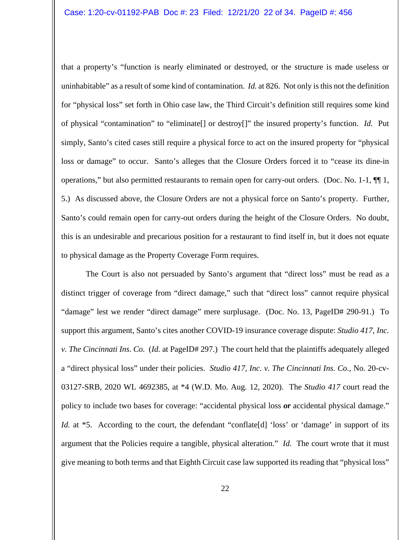that a property's "function is nearly eliminated or destroyed, or the structure is made useless or uninhabitable" as a result of some kind of contamination. *Id.* at 826. Not only is this not the definition for "physical loss" set forth in Ohio case law, the Third Circuit's definition still requires some kind of physical "contamination" to "eliminate[] or destroy[]" the insured property's function. *Id.* Put simply, Santo's cited cases still require a physical force to act on the insured property for "physical loss or damage" to occur. Santo's alleges that the Closure Orders forced it to "cease its dine-in operations," but also permitted restaurants to remain open for carry-out orders. (Doc. No. 1-1, ¶¶ 1, 5.) As discussed above, the Closure Orders are not a physical force on Santo's property. Further, Santo's could remain open for carry-out orders during the height of the Closure Orders. No doubt, this is an undesirable and precarious position for a restaurant to find itself in, but it does not equate to physical damage as the Property Coverage Form requires.

The Court is also not persuaded by Santo's argument that "direct loss" must be read as a distinct trigger of coverage from "direct damage," such that "direct loss" cannot require physical "damage" lest we render "direct damage" mere surplusage. (Doc. No. 13, PageID# 290-91.) To support this argument, Santo's cites another COVID-19 insurance coverage dispute: *Studio 417, Inc. v. The Cincinnati Ins. Co.* (*Id.* at PageID# 297.) The court held that the plaintiffs adequately alleged a "direct physical loss" under their policies. *Studio 417, Inc. v. The Cincinnati Ins. Co.*, No. 20-cv-03127-SRB, 2020 WL 4692385, at \*4 (W.D. Mo. Aug. 12, 2020). The *Studio 417* court read the policy to include two bases for coverage: "accidental physical loss *or* accidental physical damage." *Id.* at \*5. According to the court, the defendant "conflate [d] 'loss' or 'damage' in support of its argument that the Policies require a tangible, physical alteration." *Id.* The court wrote that it must give meaning to both terms and that Eighth Circuit case law supported its reading that "physical loss"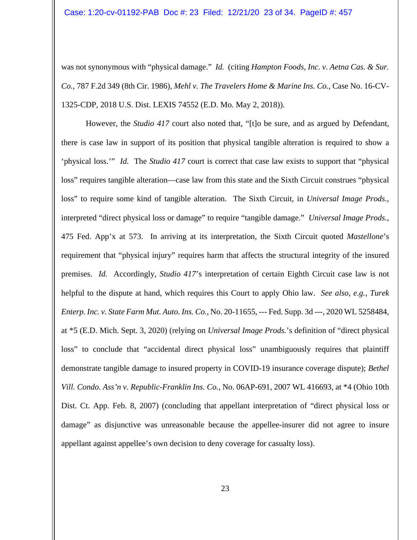was not synonymous with "physical damage." *Id.* (citing *Hampton Foods, Inc. v. Aetna Cas. & Sur. Co.*, 787 F.2d 349 (8th Cir. 1986), *Mehl v. The Travelers Home & Marine Ins. Co.*, Case No. 16-CV-1325-CDP, 2018 U.S. Dist. LEXIS 74552 (E.D. Mo. May 2, 2018)).

However, the *Studio 417* court also noted that, "[t]o be sure, and as argued by Defendant, there is case law in support of its position that physical tangible alteration is required to show a 'physical loss.'" *Id.* The *Studio 417* court is correct that case law exists to support that "physical loss" requires tangible alteration—case law from this state and the Sixth Circuit construes "physical loss" to require some kind of tangible alteration. The Sixth Circuit, in *Universal Image Prods*., interpreted "direct physical loss or damage" to require "tangible damage." *Universal Image Prods.*, 475 Fed. App'x at 573. In arriving at its interpretation, the Sixth Circuit quoted *Mastellone*'s requirement that "physical injury" requires harm that affects the structural integrity of the insured premises. *Id.* Accordingly, *Studio 417*'s interpretation of certain Eighth Circuit case law is not helpful to the dispute at hand, which requires this Court to apply Ohio law. *See also, e.g., Turek Enterp. Inc. v. State Farm Mut. Auto. Ins. Co.*, No. 20-11655, --- Fed. Supp. 3d ---, 2020 WL 5258484, at \*5 (E.D. Mich. Sept. 3, 2020) (relying on *Universal Image Prods.*'s definition of "direct physical loss" to conclude that "accidental direct physical loss" unambiguously requires that plaintiff demonstrate tangible damage to insured property in COVID-19 insurance coverage dispute); *Bethel Vill. Condo. Ass'n v. Republic-Franklin Ins. Co.*, No. 06AP-691, 2007 WL 416693, at \*4 (Ohio 10th Dist. Ct. App. Feb. 8, 2007) (concluding that appellant interpretation of "direct physical loss or damage" as disjunctive was unreasonable because the appellee-insurer did not agree to insure appellant against appellee's own decision to deny coverage for casualty loss).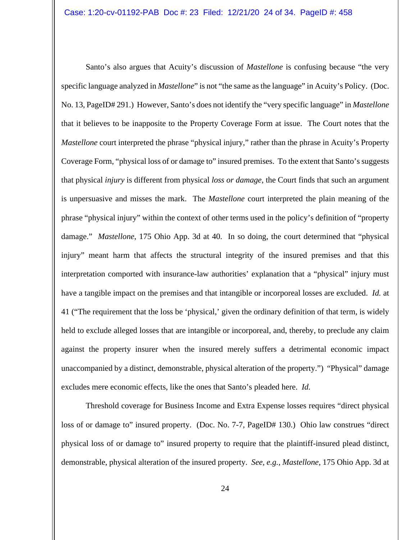Santo's also argues that Acuity's discussion of *Mastellone* is confusing because "the very specific language analyzed in *Mastellone*" is not "the same as the language" in Acuity's Policy. (Doc. No. 13, PageID# 291.) However, Santo's does not identify the "very specific language" in *Mastellone* that it believes to be inapposite to the Property Coverage Form at issue. The Court notes that the *Mastellone* court interpreted the phrase "physical injury," rather than the phrase in Acuity's Property Coverage Form, "physical loss of or damage to" insured premises. To the extent that Santo's suggests that physical *injury* is different from physical *loss or damage*, the Court finds that such an argument is unpersuasive and misses the mark. The *Mastellone* court interpreted the plain meaning of the phrase "physical injury" within the context of other terms used in the policy's definition of "property damage." *Mastellone*, 175 Ohio App. 3d at 40. In so doing, the court determined that "physical injury" meant harm that affects the structural integrity of the insured premises and that this interpretation comported with insurance-law authorities' explanation that a "physical" injury must have a tangible impact on the premises and that intangible or incorporeal losses are excluded. *Id.* at 41 ("The requirement that the loss be 'physical,' given the ordinary definition of that term, is widely held to exclude alleged losses that are intangible or incorporeal, and, thereby, to preclude any claim against the property insurer when the insured merely suffers a detrimental economic impact unaccompanied by a distinct, demonstrable, physical alteration of the property.") "Physical" damage excludes mere economic effects, like the ones that Santo's pleaded here. *Id.*

Threshold coverage for Business Income and Extra Expense losses requires "direct physical loss of or damage to" insured property. (Doc. No. 7-7, PageID# 130.) Ohio law construes "direct physical loss of or damage to" insured property to require that the plaintiff-insured plead distinct, demonstrable, physical alteration of the insured property. *See, e.g., Mastellone*, 175 Ohio App. 3d at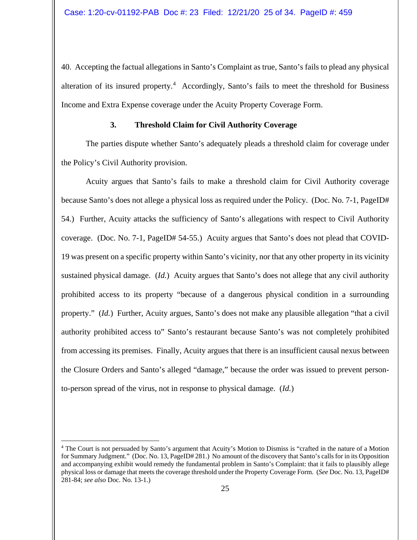40. Accepting the factual allegations in Santo's Complaint as true, Santo's fails to plead any physical alteration of its insured property.<sup>[4](#page-24-0)</sup> Accordingly, Santo's fails to meet the threshold for Business Income and Extra Expense coverage under the Acuity Property Coverage Form.

# **3. Threshold Claim for Civil Authority Coverage**

The parties dispute whether Santo's adequately pleads a threshold claim for coverage under the Policy's Civil Authority provision.

Acuity argues that Santo's fails to make a threshold claim for Civil Authority coverage because Santo's does not allege a physical loss as required under the Policy. (Doc. No. 7-1, PageID# 54.) Further, Acuity attacks the sufficiency of Santo's allegations with respect to Civil Authority coverage. (Doc. No. 7-1, PageID# 54-55.) Acuity argues that Santo's does not plead that COVID-19 was present on a specific property within Santo's vicinity, nor that any other property in its vicinity sustained physical damage. (*Id.*) Acuity argues that Santo's does not allege that any civil authority prohibited access to its property "because of a dangerous physical condition in a surrounding property." (*Id.*) Further, Acuity argues, Santo's does not make any plausible allegation "that a civil authority prohibited access to" Santo's restaurant because Santo's was not completely prohibited from accessing its premises. Finally, Acuity argues that there is an insufficient causal nexus between the Closure Orders and Santo's alleged "damage," because the order was issued to prevent personto-person spread of the virus, not in response to physical damage. (*Id.*)

<span id="page-24-0"></span><sup>&</sup>lt;sup>4</sup> The Court is not persuaded by Santo's argument that Acuity's Motion to Dismiss is "crafted in the nature of a Motion for Summary Judgment." (Doc. No. 13, PageID# 281.) No amount of the discovery that Santo's calls for in its Opposition and accompanying exhibit would remedy the fundamental problem in Santo's Complaint: that it fails to plausibly allege physical loss or damage that meets the coverage threshold under the Property Coverage Form. (*See* Doc. No. 13, PageID# 281-84; *see also* Doc. No. 13-1.)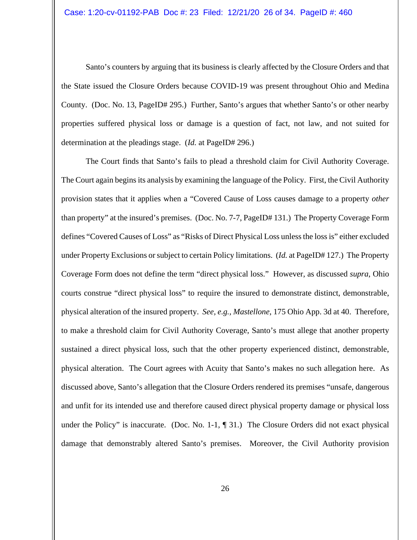Santo's counters by arguing that its business is clearly affected by the Closure Orders and that the State issued the Closure Orders because COVID-19 was present throughout Ohio and Medina County. (Doc. No. 13, PageID# 295.) Further, Santo's argues that whether Santo's or other nearby properties suffered physical loss or damage is a question of fact, not law, and not suited for determination at the pleadings stage. (*Id.* at PageID# 296.)

The Court finds that Santo's fails to plead a threshold claim for Civil Authority Coverage. The Court again begins its analysis by examining the language of the Policy. First, the Civil Authority provision states that it applies when a "Covered Cause of Loss causes damage to a property *other* than property" at the insured's premises. (Doc. No. 7-7, PageID# 131.) The Property Coverage Form defines "Covered Causes of Loss" as "Risks of Direct Physical Loss unless the loss is" either excluded under Property Exclusions or subject to certain Policy limitations. (*Id.* at PageID# 127.) The Property Coverage Form does not define the term "direct physical loss." However, as discussed *supra*, Ohio courts construe "direct physical loss" to require the insured to demonstrate distinct, demonstrable, physical alteration of the insured property. *See, e.g., Mastellone*, 175 Ohio App. 3d at 40. Therefore, to make a threshold claim for Civil Authority Coverage, Santo's must allege that another property sustained a direct physical loss, such that the other property experienced distinct, demonstrable, physical alteration. The Court agrees with Acuity that Santo's makes no such allegation here. As discussed above, Santo's allegation that the Closure Orders rendered its premises "unsafe, dangerous and unfit for its intended use and therefore caused direct physical property damage or physical loss under the Policy" is inaccurate. (Doc. No. 1-1,  $\P$  31.) The Closure Orders did not exact physical damage that demonstrably altered Santo's premises. Moreover, the Civil Authority provision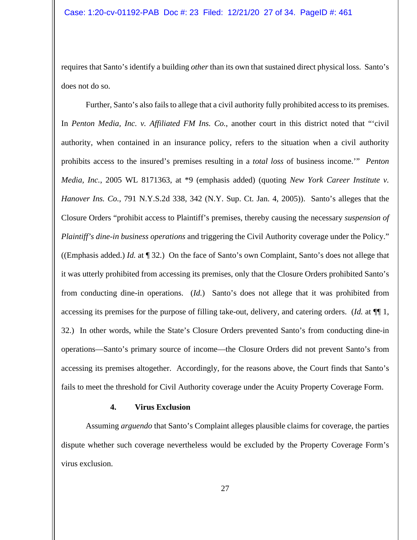requires that Santo's identify a building *other* than its own that sustained direct physical loss. Santo's does not do so.

Further, Santo's also fails to allege that a civil authority fully prohibited access to its premises. In *Penton Media, Inc. v. Affiliated FM Ins. Co.*, another court in this district noted that "'civil authority, when contained in an insurance policy, refers to the situation when a civil authority prohibits access to the insured's premises resulting in a *total loss* of business income.'" *Penton Media, Inc.*, 2005 WL 8171363, at \*9 (emphasis added) (quoting *New York Career Institute v. Hanover Ins. Co.*, 791 N.Y.S.2d 338, 342 (N.Y. Sup. Ct. Jan. 4, 2005)). Santo's alleges that the Closure Orders "prohibit access to Plaintiff's premises, thereby causing the necessary *suspension of Plaintiff's dine-in business operations* and triggering the Civil Authority coverage under the Policy." ((Emphasis added.) *Id.* at ¶ 32.) On the face of Santo's own Complaint, Santo's does not allege that it was utterly prohibited from accessing its premises, only that the Closure Orders prohibited Santo's from conducting dine-in operations. (*Id.*) Santo's does not allege that it was prohibited from accessing its premises for the purpose of filling take-out, delivery, and catering orders. (*Id.* at ¶¶ 1, 32.) In other words, while the State's Closure Orders prevented Santo's from conducting dine-in operations—Santo's primary source of income—the Closure Orders did not prevent Santo's from accessing its premises altogether. Accordingly, for the reasons above, the Court finds that Santo's fails to meet the threshold for Civil Authority coverage under the Acuity Property Coverage Form.

#### **4. Virus Exclusion**

Assuming *arguendo* that Santo's Complaint alleges plausible claims for coverage, the parties dispute whether such coverage nevertheless would be excluded by the Property Coverage Form's virus exclusion.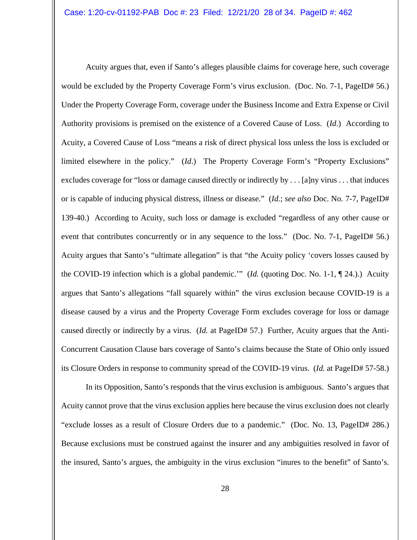Acuity argues that, even if Santo's alleges plausible claims for coverage here, such coverage would be excluded by the Property Coverage Form's virus exclusion. (Doc. No. 7-1, PageID# 56.) Under the Property Coverage Form, coverage under the Business Income and Extra Expense or Civil Authority provisions is premised on the existence of a Covered Cause of Loss. (*Id*.) According to Acuity, a Covered Cause of Loss "means a risk of direct physical loss unless the loss is excluded or limited elsewhere in the policy." (*Id*.) The Property Coverage Form's "Property Exclusions" excludes coverage for "loss or damage caused directly or indirectly by . . . [a]ny virus . . . that induces or is capable of inducing physical distress, illness or disease." (*Id.*; *see also* Doc. No. 7-7, PageID# 139-40.) According to Acuity, such loss or damage is excluded "regardless of any other cause or event that contributes concurrently or in any sequence to the loss." (Doc. No. 7-1, PageID# 56.) Acuity argues that Santo's "ultimate allegation" is that "the Acuity policy 'covers losses caused by the COVID-19 infection which is a global pandemic.'" (*Id.* (quoting Doc. No. 1-1, ¶ 24.).) Acuity argues that Santo's allegations "fall squarely within" the virus exclusion because COVID-19 is a disease caused by a virus and the Property Coverage Form excludes coverage for loss or damage caused directly or indirectly by a virus. (*Id.* at PageID# 57.) Further, Acuity argues that the Anti-Concurrent Causation Clause bars coverage of Santo's claims because the State of Ohio only issued its Closure Orders in response to community spread of the COVID-19 virus. (*Id.* at PageID# 57-58.)

In its Opposition, Santo's responds that the virus exclusion is ambiguous. Santo's argues that Acuity cannot prove that the virus exclusion applies here because the virus exclusion does not clearly "exclude losses as a result of Closure Orders due to a pandemic." (Doc. No. 13, PageID# 286.) Because exclusions must be construed against the insurer and any ambiguities resolved in favor of the insured, Santo's argues, the ambiguity in the virus exclusion "inures to the benefit" of Santo's.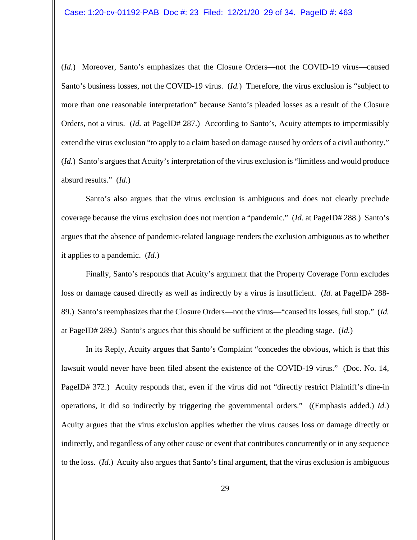(*Id.*) Moreover, Santo's emphasizes that the Closure Orders—not the COVID-19 virus—caused Santo's business losses, not the COVID-19 virus. (*Id.*) Therefore, the virus exclusion is "subject to more than one reasonable interpretation" because Santo's pleaded losses as a result of the Closure Orders, not a virus. (*Id.* at PageID# 287.) According to Santo's, Acuity attempts to impermissibly extend the virus exclusion "to apply to a claim based on damage caused by orders of a civil authority." (*Id.*) Santo's argues that Acuity's interpretation of the virus exclusion is "limitless and would produce absurd results." (*Id.*)

Santo's also argues that the virus exclusion is ambiguous and does not clearly preclude coverage because the virus exclusion does not mention a "pandemic." (*Id.* at PageID# 288.) Santo's argues that the absence of pandemic-related language renders the exclusion ambiguous as to whether it applies to a pandemic. (*Id.*)

Finally, Santo's responds that Acuity's argument that the Property Coverage Form excludes loss or damage caused directly as well as indirectly by a virus is insufficient. (*Id.* at PageID# 288-89.) Santo's reemphasizes that the Closure Orders—not the virus—"caused its losses, full stop." (*Id.* at PageID# 289.) Santo's argues that this should be sufficient at the pleading stage. (*Id.*)

In its Reply, Acuity argues that Santo's Complaint "concedes the obvious, which is that this lawsuit would never have been filed absent the existence of the COVID-19 virus." (Doc. No. 14, PageID# 372.) Acuity responds that, even if the virus did not "directly restrict Plaintiff's dine-in operations, it did so indirectly by triggering the governmental orders." ((Emphasis added.) *Id.*) Acuity argues that the virus exclusion applies whether the virus causes loss or damage directly or indirectly, and regardless of any other cause or event that contributes concurrently or in any sequence to the loss. (*Id.*) Acuity also argues that Santo's final argument, that the virus exclusion is ambiguous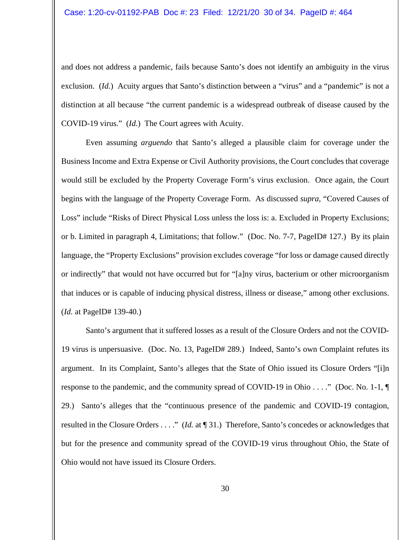and does not address a pandemic, fails because Santo's does not identify an ambiguity in the virus exclusion. (*Id.*) Acuity argues that Santo's distinction between a "virus" and a "pandemic" is not a distinction at all because "the current pandemic is a widespread outbreak of disease caused by the COVID-19 virus." (*Id.*) The Court agrees with Acuity.

Even assuming *arguendo* that Santo's alleged a plausible claim for coverage under the Business Income and Extra Expense or Civil Authority provisions, the Court concludes that coverage would still be excluded by the Property Coverage Form's virus exclusion. Once again, the Court begins with the language of the Property Coverage Form. As discussed *supra*, "Covered Causes of Loss" include "Risks of Direct Physical Loss unless the loss is: a. Excluded in Property Exclusions; or b. Limited in paragraph 4, Limitations; that follow." (Doc. No. 7-7, PageID# 127.) By its plain language, the "Property Exclusions" provision excludes coverage "for loss or damage caused directly or indirectly" that would not have occurred but for "[a]ny virus, bacterium or other microorganism that induces or is capable of inducing physical distress, illness or disease," among other exclusions. (*Id.* at PageID# 139-40.)

Santo's argument that it suffered losses as a result of the Closure Orders and not the COVID-19 virus is unpersuasive. (Doc. No. 13, PageID# 289.) Indeed, Santo's own Complaint refutes its argument. In its Complaint, Santo's alleges that the State of Ohio issued its Closure Orders "[i]n response to the pandemic, and the community spread of COVID-19 in Ohio . . . ." (Doc. No. 1-1, ¶ 29.) Santo's alleges that the "continuous presence of the pandemic and COVID-19 contagion, resulted in the Closure Orders . . . ." (*Id.* at ¶ 31.) Therefore, Santo's concedes or acknowledges that but for the presence and community spread of the COVID-19 virus throughout Ohio, the State of Ohio would not have issued its Closure Orders.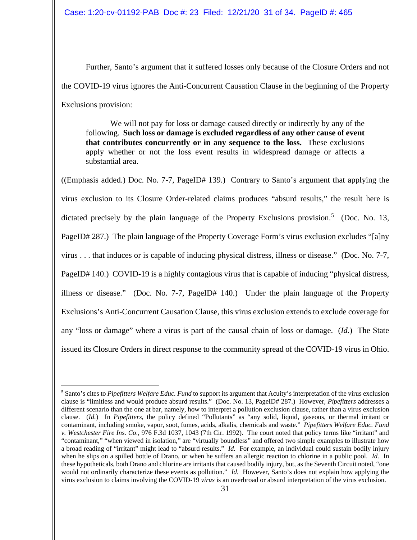Further, Santo's argument that it suffered losses only because of the Closure Orders and not the COVID-19 virus ignores the Anti-Concurrent Causation Clause in the beginning of the Property Exclusions provision:

We will not pay for loss or damage caused directly or indirectly by any of the following. **Such loss or damage is excluded regardless of any other cause of event that contributes concurrently or in any sequence to the loss.** These exclusions apply whether or not the loss event results in widespread damage or affects a substantial area.

((Emphasis added.) Doc. No. 7-7, PageID# 139.) Contrary to Santo's argument that applying the virus exclusion to its Closure Order-related claims produces "absurd results," the result here is dictated precisely by the plain language of the Property Exclusions provision.<sup>[5](#page-30-0)</sup> (Doc. No. 13, PageID# 287.) The plain language of the Property Coverage Form's virus exclusion excludes "[a]ny virus . . . that induces or is capable of inducing physical distress, illness or disease." (Doc. No. 7-7, PageID# 140.) COVID-19 is a highly contagious virus that is capable of inducing "physical distress, illness or disease." (Doc. No. 7-7, PageID# 140.) Under the plain language of the Property Exclusions's Anti-Concurrent Causation Clause, this virus exclusion extends to exclude coverage for any "loss or damage" where a virus is part of the causal chain of loss or damage. (*Id.*) The State issued its Closure Orders in direct response to the community spread of the COVID-19 virus in Ohio.

<span id="page-30-0"></span><sup>5</sup> Santo's cites to *Pipefitters Welfare Educ. Fund* to support its argument that Acuity's interpretation of the virus exclusion clause is "limitless and would produce absurd results." (Doc. No. 13, PageID# 287.) However, *Pipefitters* addresses a different scenario than the one at bar, namely, how to interpret a pollution exclusion clause, rather than a virus exclusion clause. (*Id.*) In *Pipefitters*, the policy defined "Pollutants" as "any solid, liquid, gaseous, or thermal irritant or contaminant, including smoke, vapor, soot, fumes, acids, alkalis, chemicals and waste." *Pipefitters Welfare Educ. Fund v. Westchester Fire Ins. Co.*, 976 F.3d 1037, 1043 (7th Cir. 1992). The court noted that policy terms like "irritant" and "contaminant," "when viewed in isolation," are "virtually boundless" and offered two simple examples to illustrate how a broad reading of "irritant" might lead to "absurd results." *Id.* For example, an individual could sustain bodily injury when he slips on a spilled bottle of Drano, or when he suffers an allergic reaction to chlorine in a public pool. *Id.* In these hypotheticals, both Drano and chlorine are irritants that caused bodily injury, but, as the Seventh Circuit noted, "one would not ordinarily characterize these events as pollution." *Id.* However, Santo's does not explain how applying the virus exclusion to claims involving the COVID-19 *virus* is an overbroad or absurd interpretation of the virus exclusion.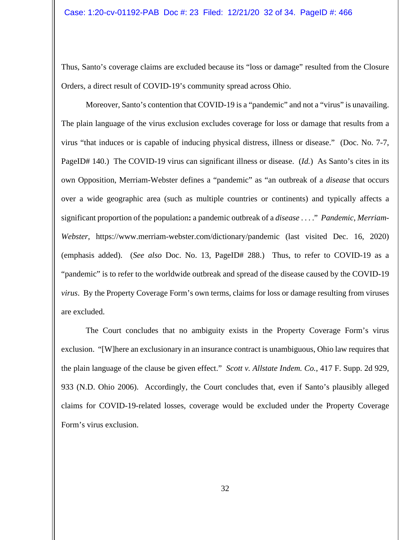Thus, Santo's coverage claims are excluded because its "loss or damage" resulted from the Closure Orders, a direct result of COVID-19's community spread across Ohio.

Moreover, Santo's contention that COVID-19 is a "pandemic" and not a "virus" is unavailing. The plain language of the virus exclusion excludes coverage for loss or damage that results from a virus "that induces or is capable of inducing physical distress, illness or disease." (Doc. No. 7-7, PageID# 140.) The COVID-19 virus can significant illness or disease. (*Id.*) As Santo's cites in its own Opposition, Merriam-Webster defines a "pandemic" as "an outbreak of a *disease* that occurs over a wide geographic area (such as multiple countries or continents) and typically affects a significant proportion of the population**:** a pandemic outbreak of a *disease* . . . ." *Pandemic*, *Merriam-Webster*, https://www.merriam-webster.com/dictionary/pandemic (last visited Dec. 16, 2020) (emphasis added). (*See also* Doc. No. 13, PageID# 288.) Thus, to refer to COVID-19 as a "pandemic" is to refer to the worldwide outbreak and spread of the disease caused by the COVID-19 *virus*. By the Property Coverage Form's own terms, claims for loss or damage resulting from viruses are excluded.

The Court concludes that no ambiguity exists in the Property Coverage Form's virus exclusion. "[W]here an exclusionary in an insurance contract is unambiguous, Ohio law requires that the plain language of the clause be given effect." *Scott v. Allstate Indem. Co.*, 417 F. Supp. 2d 929, 933 (N.D. Ohio 2006). Accordingly, the Court concludes that, even if Santo's plausibly alleged claims for COVID-19-related losses, coverage would be excluded under the Property Coverage Form's virus exclusion.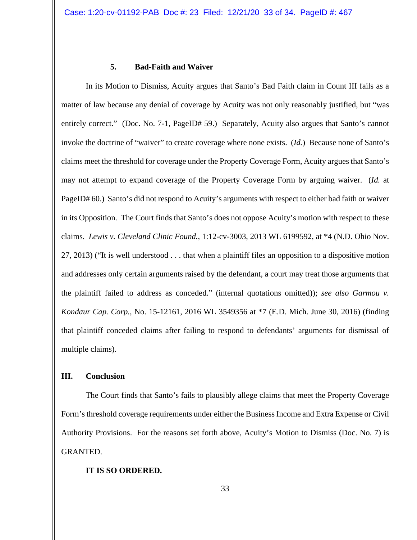### **5. Bad-Faith and Waiver**

In its Motion to Dismiss, Acuity argues that Santo's Bad Faith claim in Count III fails as a matter of law because any denial of coverage by Acuity was not only reasonably justified, but "was entirely correct." (Doc. No. 7-1, PageID# 59.) Separately, Acuity also argues that Santo's cannot invoke the doctrine of "waiver" to create coverage where none exists. (*Id.*) Because none of Santo's claims meet the threshold for coverage under the Property Coverage Form, Acuity argues that Santo's may not attempt to expand coverage of the Property Coverage Form by arguing waiver. (*Id.* at PageID# 60.) Santo's did not respond to Acuity's arguments with respect to either bad faith or waiver in its Opposition. The Court finds that Santo's does not oppose Acuity's motion with respect to these claims. *Lewis v. Cleveland Clinic Found.*, 1:12-cv-3003, 2013 WL 6199592, at \*4 (N.D. Ohio Nov. 27, 2013) ("It is well understood . . . that when a plaintiff files an opposition to a dispositive motion and addresses only certain arguments raised by the defendant, a court may treat those arguments that the plaintiff failed to address as conceded." (internal quotations omitted)); *see also Garmou v. Kondaur Cap. Corp.*, No. 15-12161, 2016 WL 3549356 at \*7 (E.D. Mich. June 30, 2016) (finding that plaintiff conceded claims after failing to respond to defendants' arguments for dismissal of multiple claims).

#### **III. Conclusion**

The Court finds that Santo's fails to plausibly allege claims that meet the Property Coverage Form's threshold coverage requirements under either the Business Income and Extra Expense or Civil Authority Provisions. For the reasons set forth above, Acuity's Motion to Dismiss (Doc. No. 7) is GRANTED.

#### **IT IS SO ORDERED.**